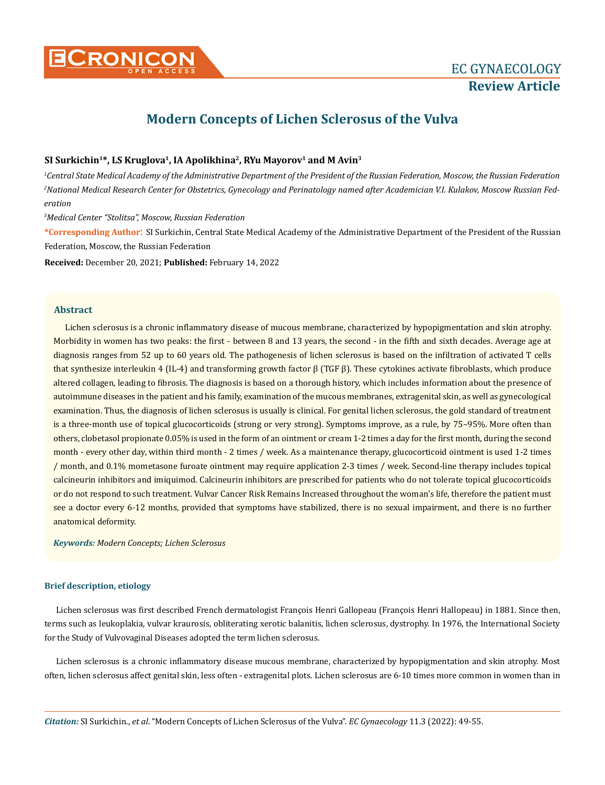

# **Modern Concepts of Lichen Sclerosus of the Vulva**

## SI Surkichin<sup>1\*</sup>, LS Kruglova<sup>1</sup>, IA Apolikhina<sup>2</sup>, RYu Mayorov<sup>1</sup> and M Avin<sup>3</sup>

*1 Central State Medical Academy of the Administrative Department of the President of the Russian Federation, Moscow, the Russian Federation 2 National Medical Research Center for Obstetrics, Gynecology and Perinatology named after Academician V.I. Kulakov, Moscow Russian Federation*

*3 Medical Center "Stolitsa", Moscow, Russian Federation*

**\*Corresponding Author**: SI Surkichin, Central State Medical Academy of the Administrative Department of the President of the Russian Federation, Moscow, the Russian Federation

**Received:** December 20, 2021; **Published:** February 14, 2022

## **Abstract**

Lichen sclerosus is a chronic inflammatory disease of mucous membrane, characterized by hypopigmentation and skin atrophy. Morbidity in women has two peaks: the first - between 8 and 13 years, the second - in the fifth and sixth decades. Average age at diagnosis ranges from 52 up to 60 years old. The pathogenesis of lichen sclerosus is based on the infiltration of activated T cells that synthesize interleukin 4 (IL-4) and transforming growth factor β (TGF β). These cytokines activate fibroblasts, which produce altered collagen, leading to fibrosis. The diagnosis is based on a thorough history, which includes information about the presence of autoimmune diseases in the patient and his family, examination of the mucous membranes, extragenital skin, as well as gynecological examination. Thus, the diagnosis of lichen sclerosus is usually is clinical. For genital lichen sclerosus, the gold standard of treatment is a three-month use of topical glucocorticoids (strong or very strong). Symptoms improve, as a rule, by 75–95%. More often than others, clobetasol propionate 0.05% is used in the form of an ointment or cream 1-2 times a day for the first month, during the second month - every other day, within third month - 2 times / week. As a maintenance therapy, glucocorticoid ointment is used 1-2 times / month, and 0.1% mometasone furoate ointment may require application 2-3 times / week. Second-line therapy includes topical calcineurin inhibitors and imiquimod. Calcineurin inhibitors are prescribed for patients who do not tolerate topical glucocorticoids or do not respond to such treatment. Vulvar Cancer Risk Remains Increased throughout the woman's life, therefore the patient must see a doctor every 6-12 months, provided that symptoms have stabilized, there is no sexual impairment, and there is no further anatomical deformity.

*Keywords: Modern Concepts; Lichen Sclerosus*

## **Brief description, etiology**

Lichen sclerosus was first described French dermatologist François Henri Gallopeau (François Henri Hallopeau) in 1881. Since then, terms such as leukoplakia, vulvar kraurosis, obliterating xerotic balanitis, lichen sclerosus, dystrophy. In 1976, the International Society for the Study of Vulvovaginal Diseases adopted the term lichen sclerosus.

Lichen sclerosus is a chronic inflammatory disease mucous membrane, characterized by hypopigmentation and skin atrophy. Most often, lichen sclerosus affect genital skin, less often - extragenital plots. Lichen sclerosus are 6-10 times more common in women than in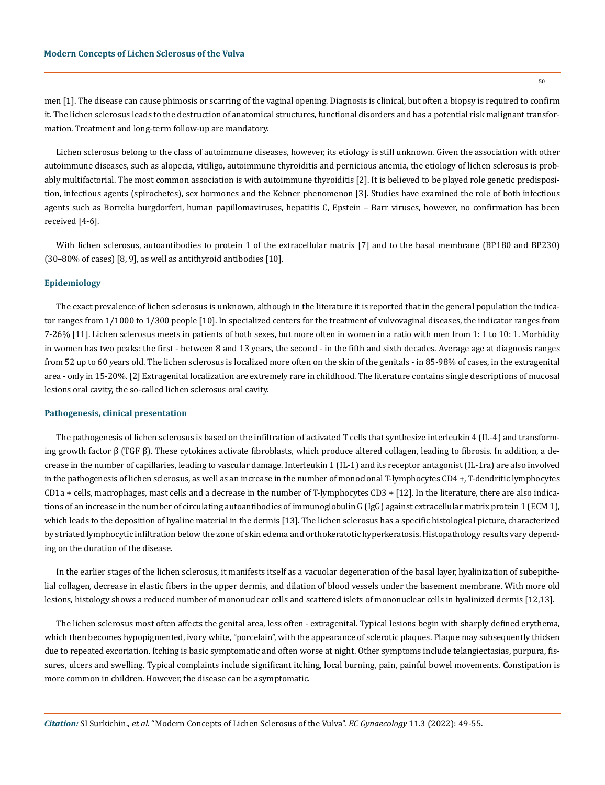men [1]. The disease can cause phimosis or scarring of the vaginal opening. Diagnosis is clinical, but often a biopsy is required to confirm it. The lichen sclerosus leads to the destruction of anatomical structures, functional disorders and has a potential risk malignant transformation. Treatment and long-term follow-up are mandatory.

Lichen sclerosus belong to the class of autoimmune diseases, however, its etiology is still unknown. Given the association with other autoimmune diseases, such as alopecia, vitiligo, autoimmune thyroiditis and pernicious anemia, the etiology of lichen sclerosus is probably multifactorial. The most common association is with autoimmune thyroiditis [2]. It is believed to be played role genetic predisposition, infectious agents (spirochetes), sex hormones and the Kebner phenomenon [3]. Studies have examined the role of both infectious agents such as Borrelia burgdorferi, human papillomaviruses, hepatitis C, Epstein – Barr viruses, however, no confirmation has been received [4-6].

With lichen sclerosus, autoantibodies to protein 1 of the extracellular matrix [7] and to the basal membrane (BP180 and BP230) (30–80% of cases) [8, 9], as well as antithyroid antibodies [10].

#### **Epidemiology**

The exact prevalence of lichen sclerosus is unknown, although in the literature it is reported that in the general population the indicator ranges from 1/1000 to 1/300 people [10]. In specialized centers for the treatment of vulvovaginal diseases, the indicator ranges from 7-26% [11]. Lichen sclerosus meets in patients of both sexes, but more often in women in a ratio with men from 1: 1 to 10: 1. Morbidity in women has two peaks: the first - between 8 and 13 years, the second - in the fifth and sixth decades. Average age at diagnosis ranges from 52 up to 60 years old. The lichen sclerosus is localized more often on the skin of the genitals - in 85-98% of cases, in the extragenital area - only in 15-20%. [2] Extragenital localization are extremely rare in childhood. The literature contains single descriptions of mucosal lesions oral cavity, the so-called lichen sclerosus oral cavity.

## **Pathogenesis, clinical presentation**

The pathogenesis of lichen sclerosus is based on the infiltration of activated T cells that synthesize interleukin 4 (IL-4) and transforming growth factor β (TGF β). These cytokines activate fibroblasts, which produce altered collagen, leading to fibrosis. In addition, a decrease in the number of capillaries, leading to vascular damage. Interleukin 1 (IL-1) and its receptor antagonist (IL-1ra) are also involved in the pathogenesis of lichen sclerosus, as well as an increase in the number of monoclonal T-lymphocytes CD4 +, T-dendritic lymphocytes CD1a + cells, macrophages, mast cells and a decrease in the number of T-lymphocytes CD3 + [12]. In the literature, there are also indications of an increase in the number of circulating autoantibodies of immunoglobulin G (IgG) against extracellular matrix protein 1 (ECM 1), which leads to the deposition of hyaline material in the dermis [13]. The lichen sclerosus has a specific histological picture, characterized by striated lymphocytic infiltration below the zone of skin edema and orthokeratotic hyperkeratosis. Histopathology results vary depending on the duration of the disease.

In the earlier stages of the lichen sclerosus, it manifests itself as a vacuolar degeneration of the basal layer, hyalinization of subepithelial collagen, decrease in elastic fibers in the upper dermis, and dilation of blood vessels under the basement membrane. With more old lesions, histology shows a reduced number of mononuclear cells and scattered islets of mononuclear cells in hyalinized dermis [12,13].

The lichen sclerosus most often affects the genital area, less often - extragenital. Typical lesions begin with sharply defined erythema, which then becomes hypopigmented, ivory white, "porcelain", with the appearance of sclerotic plaques. Plaque may subsequently thicken due to repeated excoriation. Itching is basic symptomatic and often worse at night. Other symptoms include telangiectasias, purpura, fissures, ulcers and swelling. Typical complaints include significant itching, local burning, pain, painful bowel movements. Constipation is more common in children. However, the disease can be asymptomatic.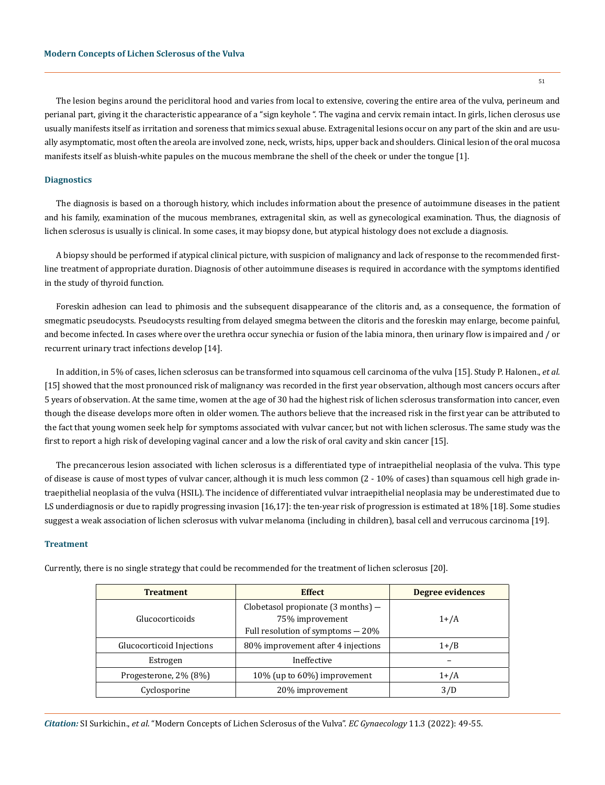The lesion begins around the periclitoral hood and varies from local to extensive, covering the entire area of the vulva, perineum and perianal part, giving it the characteristic appearance of a "sign keyhole ". The vagina and cervix remain intact. In girls, lichen clerosus use usually manifests itself as irritation and soreness that mimics sexual abuse. Extragenital lesions occur on any part of the skin and are usually asymptomatic, most often the areola are involved zone, neck, wrists, hips, upper back and shoulders. Clinical lesion of the oral mucosa manifests itself as bluish-white papules on the mucous membrane the shell of the cheek or under the tongue [1].

#### **Diagnostics**

The diagnosis is based on a thorough history, which includes information about the presence of autoimmune diseases in the patient and his family, examination of the mucous membranes, extragenital skin, as well as gynecological examination. Thus, the diagnosis of lichen sclerosus is usually is clinical. In some cases, it may biopsy done, but atypical histology does not exclude a diagnosis.

A biopsy should be performed if atypical clinical picture, with suspicion of malignancy and lack of response to the recommended firstline treatment of appropriate duration. Diagnosis of other autoimmune diseases is required in accordance with the symptoms identified in the study of thyroid function.

Foreskin adhesion can lead to phimosis and the subsequent disappearance of the clitoris and, as a consequence, the formation of smegmatic pseudocysts. Pseudocysts resulting from delayed smegma between the clitoris and the foreskin may enlarge, become painful, and become infected. In cases where over the urethra occur synechia or fusion of the labia minora, then urinary flow is impaired and / or recurrent urinary tract infections develop [14].

In addition, in 5% of cases, lichen sclerosus can be transformed into squamous cell carcinoma of the vulva [15]. Study P. Halonen., *et al.* [15] showed that the most pronounced risk of malignancy was recorded in the first year observation, although most cancers occurs after 5 years of observation. At the same time, women at the age of 30 had the highest risk of lichen sclerosus transformation into cancer, even though the disease develops more often in older women. The authors believe that the increased risk in the first year can be attributed to the fact that young women seek help for symptoms associated with vulvar cancer, but not with lichen sclerosus. The same study was the first to report a high risk of developing vaginal cancer and a low the risk of oral cavity and skin cancer [15].

The precancerous lesion associated with lichen sclerosus is a differentiated type of intraepithelial neoplasia of the vulva. This type of disease is cause of most types of vulvar cancer, although it is much less common (2 - 10% of cases) than squamous cell high grade intraepithelial neoplasia of the vulva (HSIL). The incidence of differentiated vulvar intraepithelial neoplasia may be underestimated due to LS underdiagnosis or due to rapidly progressing invasion [16,17]: the ten-year risk of progression is estimated at 18% [18]. Some studies suggest a weak association of lichen sclerosus with vulvar melanoma (including in children), basal cell and verrucous carcinoma [19].

#### **Treatment**

| <b>Treatment</b>          | <b>Effect</b>                                                                                         | Degree evidences |
|---------------------------|-------------------------------------------------------------------------------------------------------|------------------|
| Glucocorticoids           | Clobetasol propionate $(3 \text{ months}) -$<br>75% improvement<br>Full resolution of symptoms $-20%$ | $1+/A$           |
| Glucocorticoid Injections | 80% improvement after 4 injections                                                                    | $1 + /B$         |
| Estrogen                  | Ineffective                                                                                           |                  |
| Progesterone, 2% (8%)     | 10% (up to 60%) improvement                                                                           | $1+/A$           |
| Cyclosporine              | 20% improvement                                                                                       | 3/D              |

Currently, there is no single strategy that could be recommended for the treatment of lichen sclerosus [20].

*Citation:* SI Surkichin., *et al*. "Modern Concepts of Lichen Sclerosus of the Vulva". *EC Gynaecology* 11.3 (2022): 49-55.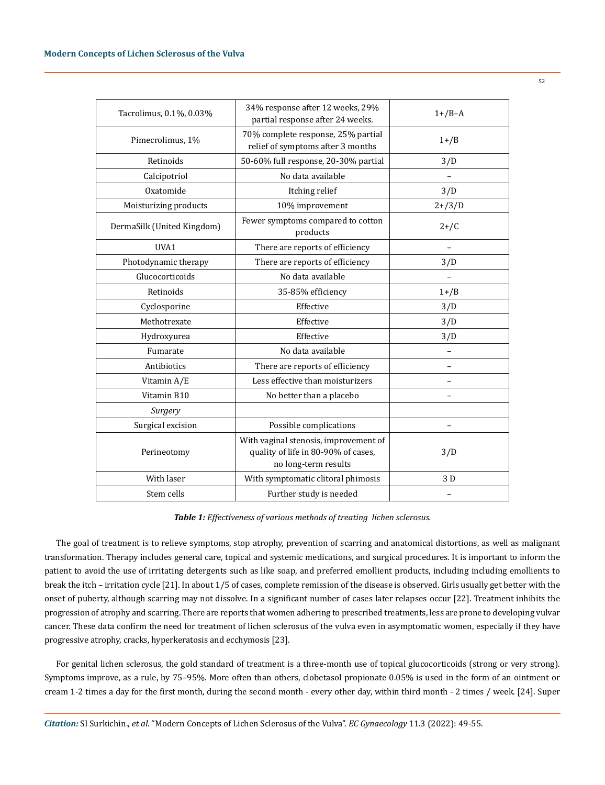| Tacrolimus, 0.1%, 0.03%    | 34% response after 12 weeks, 29%<br>partial response after 24 weeks.                                 | $1+$ /B-A  |
|----------------------------|------------------------------------------------------------------------------------------------------|------------|
| Pimecrolimus, 1%           | 70% complete response, 25% partial<br>relief of symptoms after 3 months                              | $1+$ /B    |
| Retinoids                  | 50-60% full response, 20-30% partial                                                                 | 3/D        |
| Calcipotriol               | No data available                                                                                    | $\equiv$   |
| Oxatomide                  | Itching relief                                                                                       | 3/D        |
| Moisturizing products      | 10% improvement                                                                                      | $2 + /3/D$ |
| DermaSilk (United Kingdom) | Fewer symptoms compared to cotton<br>products                                                        | $2+$ /C    |
| UVA1                       | There are reports of efficiency                                                                      |            |
| Photodynamic therapy       | There are reports of efficiency                                                                      | 3/D        |
| Glucocorticoids            | No data available                                                                                    |            |
| Retinoids                  | 35-85% efficiency                                                                                    | $1+$ /B    |
| Cyclosporine               | Effective                                                                                            | 3/D        |
| Methotrexate               | Effective                                                                                            | 3/D        |
| Hydroxyurea                | Effective                                                                                            | 3/D        |
| Fumarate                   | No data available                                                                                    |            |
| Antibiotics                | There are reports of efficiency                                                                      |            |
| Vitamin A/E                | Less effective than moisturizers                                                                     | ۳          |
| Vitamin B10                | No better than a placebo                                                                             |            |
| Surgery                    |                                                                                                      |            |
| Surgical excision          | Possible complications                                                                               |            |
| Perineotomy                | With vaginal stenosis, improvement of<br>quality of life in 80-90% of cases,<br>no long-term results | 3/D        |
| With laser                 | With symptomatic clitoral phimosis                                                                   | 3 D        |
| Stem cells                 | Further study is needed                                                                              |            |

*Table 1: Effectiveness of various methods of treating lichen sclerosus.*

The goal of treatment is to relieve symptoms, stop atrophy, prevention of scarring and anatomical distortions, as well as malignant transformation. Therapy includes general care, topical and systemic medications, and surgical procedures. It is important to inform the patient to avoid the use of irritating detergents such as like soap, and preferred emollient products, including including emollients to break the itch – irritation cycle [21]. In about 1/5 of cases, complete remission of the disease is observed. Girls usually get better with the onset of puberty, although scarring may not dissolve. In a significant number of cases later relapses occur [22]. Treatment inhibits the progression of atrophy and scarring. There are reports that women adhering to prescribed treatments, less are prone to developing vulvar cancer. These data confirm the need for treatment of lichen sclerosus of the vulva even in asymptomatic women, especially if they have progressive atrophy, cracks, hyperkeratosis and ecchymosis [23].

For genital lichen sclerosus, the gold standard of treatment is a three-month use of topical glucocorticoids (strong or very strong). Symptoms improve, as a rule, by 75–95%. More often than others, clobetasol propionate 0.05% is used in the form of an ointment or cream 1-2 times a day for the first month, during the second month - every other day, within third month - 2 times / week. [24]. Super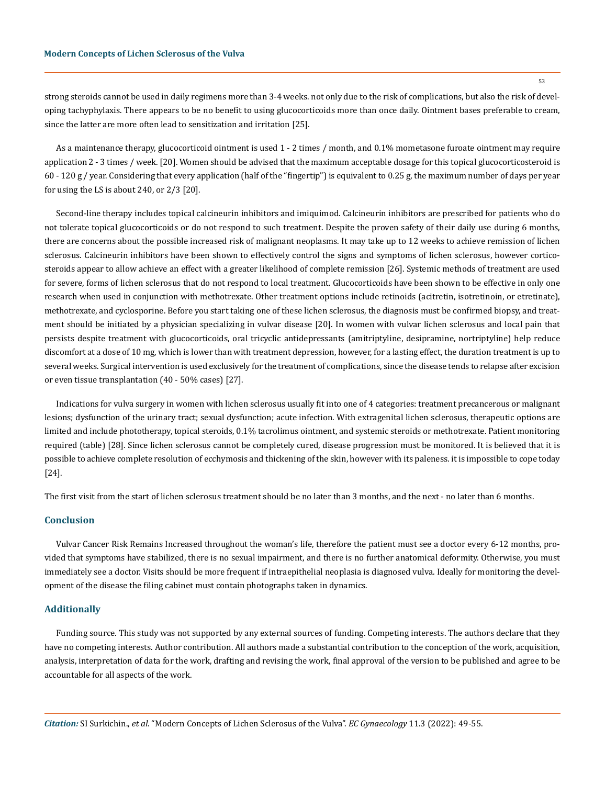strong steroids cannot be used in daily regimens more than 3-4 weeks. not only due to the risk of complications, but also the risk of developing tachyphylaxis. There appears to be no benefit to using glucocorticoids more than once daily. Ointment bases preferable to cream, since the latter are more often lead to sensitization and irritation [25].

As a maintenance therapy, glucocorticoid ointment is used 1 - 2 times / month, and 0.1% mometasone furoate ointment may require application 2 - 3 times / week. [20]. Women should be advised that the maximum acceptable dosage for this topical glucocorticosteroid is 60 - 120 g / year. Considering that every application (half of the "fingertip") is equivalent to 0.25 g, the maximum number of days per year for using the LS is about 240, or 2/3 [20].

Second-line therapy includes topical calcineurin inhibitors and imiquimod. Calcineurin inhibitors are prescribed for patients who do not tolerate topical glucocorticoids or do not respond to such treatment. Despite the proven safety of their daily use during 6 months, there are concerns about the possible increased risk of malignant neoplasms. It may take up to 12 weeks to achieve remission of lichen sclerosus. Calcineurin inhibitors have been shown to effectively control the signs and symptoms of lichen sclerosus, however corticosteroids appear to allow achieve an effect with a greater likelihood of complete remission [26]. Systemic methods of treatment are used for severe, forms of lichen sclerosus that do not respond to local treatment. Glucocorticoids have been shown to be effective in only one research when used in conjunction with methotrexate. Other treatment options include retinoids (acitretin, isotretinoin, or etretinate), methotrexate, and cyclosporine. Before you start taking one of these lichen sclerosus, the diagnosis must be confirmed biopsy, and treatment should be initiated by a physician specializing in vulvar disease [20]. In women with vulvar lichen sclerosus and local pain that persists despite treatment with glucocorticoids, oral tricyclic antidepressants (amitriptyline, desipramine, nortriptyline) help reduce discomfort at a dose of 10 mg, which is lower than with treatment depression, however, for a lasting effect, the duration treatment is up to several weeks. Surgical intervention is used exclusively for the treatment of complications, since the disease tends to relapse after excision or even tissue transplantation (40 - 50% cases) [27].

Indications for vulva surgery in women with lichen sclerosus usually fit into one of 4 categories: treatment precancerous or malignant lesions; dysfunction of the urinary tract; sexual dysfunction; acute infection. With extragenital lichen sclerosus, therapeutic options are limited and include phototherapy, topical steroids, 0.1% tacrolimus ointment, and systemic steroids or methotrexate. Patient monitoring required (table) [28]. Since lichen sclerosus cannot be completely cured, disease progression must be monitored. It is believed that it is possible to achieve complete resolution of ecchymosis and thickening of the skin, however with its paleness. it is impossible to cope today [24].

The first visit from the start of lichen sclerosus treatment should be no later than 3 months, and the next - no later than 6 months.

## **Conclusion**

Vulvar Cancer Risk Remains Increased throughout the woman's life, therefore the patient must see a doctor every 6-12 months, provided that symptoms have stabilized, there is no sexual impairment, and there is no further anatomical deformity. Otherwise, you must immediately see a doctor. Visits should be more frequent if intraepithelial neoplasia is diagnosed vulva. Ideally for monitoring the development of the disease the filing cabinet must contain photographs taken in dynamics.

#### **Additionally**

Funding source. This study was not supported by any external sources of funding. Competing interests. The authors declare that they have no competing interests. Author contribution. All authors made a substantial contribution to the conception of the work, acquisition, analysis, interpretation of data for the work, drafting and revising the work, final approval of the version to be published and agree to be accountable for all aspects of the work.

*Citation:* SI Surkichin., *et al*. "Modern Concepts of Lichen Sclerosus of the Vulva". *EC Gynaecology* 11.3 (2022): 49-55.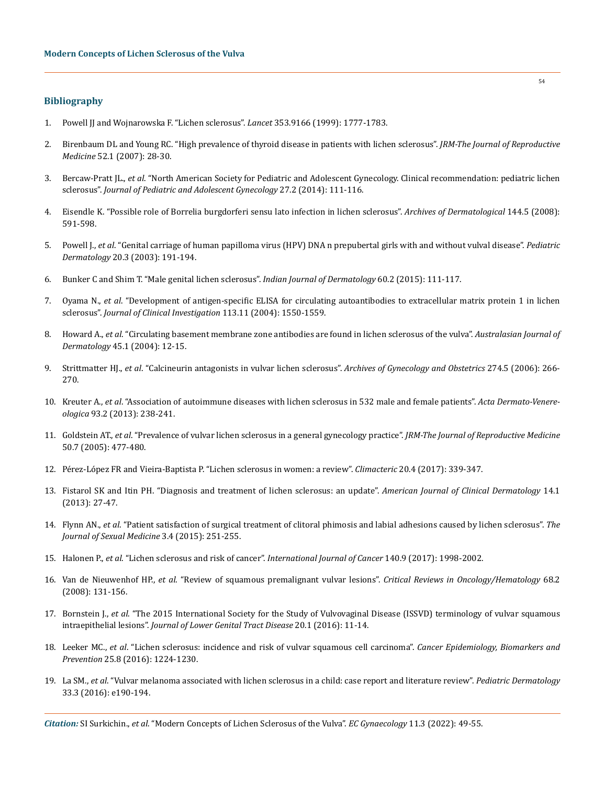## **Bibliography**

- 1. [Powell JJ and Wojnarowska F. "Lichen sclerosus".](https://pubmed.ncbi.nlm.nih.gov/10348006/) *Lancet* 353.9166 (1999): 1777-1783.
- 2. [Birenbaum DL and Young RC. "High prevalence of thyroid disease in patients with lichen sclerosus".](https://pubmed.ncbi.nlm.nih.gov/17286064/) *JRM-The Journal of Reproductive Medicine* [52.1 \(2007\): 28-30.](https://pubmed.ncbi.nlm.nih.gov/17286064/)
- 3. Bercaw-Pratt JL., *et al*[. "North American Society for Pediatric and Adolescent Gynecology. Clinical recommendation: pediatric lichen](https://pubmed.ncbi.nlm.nih.gov/24602304/)  sclerosus". *[Journal of Pediatric and Adolescent Gynecology](https://pubmed.ncbi.nlm.nih.gov/24602304/)* 27.2 (2014): 111-116.
- 4. [Eisendle K. "Possible role of Borrelia burgdorferi sensu lato infection in lichen sclerosus".](https://pubmed.ncbi.nlm.nih.gov/18490585/) *Archives of Dermatological* 144.5 (2008): [591-598.](https://pubmed.ncbi.nlm.nih.gov/18490585/)
- 5. Powell J., *et al*[. "Genital carriage of human papilloma virus \(HPV\) DNA n prepubertal girls with and without vulval disease".](https://pubmed.ncbi.nlm.nih.gov/12787264/) *Pediatric Dermatology* [20.3 \(2003\): 191-194.](https://pubmed.ncbi.nlm.nih.gov/12787264/)
- 6. [Bunker C and Shim T. "Male genital lichen sclerosus".](https://www.ncbi.nlm.nih.gov/pmc/articles/PMC4372901/) *Indian Journal of Dermatology* 60.2 (2015): 111-117.
- 7. Oyama N., *et al*[. "Development of antigen-specific ELISA for circulating autoantibodies to extracellular matrix protein 1 in lichen](https://pubmed.ncbi.nlm.nih.gov/15173881/)  sclerosus". *[Journal of Clinical Investigation](https://pubmed.ncbi.nlm.nih.gov/15173881/)* 113.11 (2004): 1550-1559.
- 8. Howard A., *et al*[. "Circulating basement membrane zone antibodies are found in lichen sclerosus of the vulva".](https://pubmed.ncbi.nlm.nih.gov/14961902/) *Australasian Journal of Dermatology* [45.1 \(2004\): 12-15.](https://pubmed.ncbi.nlm.nih.gov/14961902/)
- 9. Strittmatter HJ., *et al*[. "Calcineurin antagonists in vulvar lichen sclerosus".](https://pubmed.ncbi.nlm.nih.gov/16830155/) *Archives of Gynecology and Obstetrics* 274.5 (2006): 266- [270.](https://pubmed.ncbi.nlm.nih.gov/16830155/)
- 10. Kreuter A., *et al*[. "Association of autoimmune diseases with lichen sclerosus in 532 male and female patients".](https://www.researchgate.net/publication/233886839_Association_of_Autoimmune_Diseases_with_Lichen_Sclerosus_in_532_Male_and_Female_Patients) *Acta Dermato-Venereologica* [93.2 \(2013\): 238-241.](https://www.researchgate.net/publication/233886839_Association_of_Autoimmune_Diseases_with_Lichen_Sclerosus_in_532_Male_and_Female_Patients)
- 11. Goldstein AT., *et al*[. "Prevalence of vulvar lichen sclerosus in a general gynecology practice".](https://www.researchgate.net/publication/7629792_Prevalence_of_vulvar_lichen_sclerosus_in_a_general_gynecology_practice) *JRM-The Journal of Reproductive Medicine*  [50.7 \(2005\): 477-480.](https://www.researchgate.net/publication/7629792_Prevalence_of_vulvar_lichen_sclerosus_in_a_general_gynecology_practice)
- 12. [Pérez-López FR and Vieira-Baptista P. "Lichen sclerosus in women: a review".](https://www.tandfonline.com/doi/abs/10.1080/13697137.2017.1343295?journalCode=icmt20) *Climacteric* 20.4 (2017): 339-347.
- 13. [Fistarol SK and Itin PH. "Diagnosis and treatment of lichen sclerosus: an update".](https://pubmed.ncbi.nlm.nih.gov/23329078/) *American Journal of Clinical Dermatology* 14.1 [\(2013\): 27-47.](https://pubmed.ncbi.nlm.nih.gov/23329078/)
- 14. Flynn AN., *et al*[. "Patient satisfaction of surgical treatment of clitoral phimosis and labial adhesions caused by lichen sclerosus".](https://www.ncbi.nlm.nih.gov/pmc/articles/PMC4721030/) *The [Journal of Sexual Medicine](https://www.ncbi.nlm.nih.gov/pmc/articles/PMC4721030/)* 3.4 (2015): 251-255.
- 15. Halonen P., *et al*[. "Lichen sclerosus and risk of cancer".](https://pubmed.ncbi.nlm.nih.gov/28124469/) *International Journal of Cancer* 140.9 (2017): 1998-2002.
- 16. Van de Nieuwenhof HP., *et al*[. "Review of squamous premalignant vulvar lesions".](https://pubmed.ncbi.nlm.nih.gov/22716003/) *Critical Reviews in Oncology/Hematology* 68.2 [\(2008\): 131-156.](https://pubmed.ncbi.nlm.nih.gov/22716003/)
- 17. Bornstein J., *et al*[. "The 2015 International Society for the Study of Vulvovaginal Disease \(ISSVD\) terminology of vulvar squamous](https://pubmed.ncbi.nlm.nih.gov/26704327/)  intraepithelial lesions". *[Journal of Lower Genital Tract Disease](https://pubmed.ncbi.nlm.nih.gov/26704327/)* 20.1 (2016): 11-14.
- 18. Leeker MC., *et al*[. "Lichen sclerosus: incidence and risk of vulvar squamous cell carcinoma".](https://pubmed.ncbi.nlm.nih.gov/27257093/) *Cancer Epidemiology, Biomarkers and Prevention* [25.8 \(2016\): 1224-1230.](https://pubmed.ncbi.nlm.nih.gov/27257093/)
- 19. La SM., *et al*[. "Vulvar melanoma associated with lichen sclerosus in a child: case report and literature review".](https://pubmed.ncbi.nlm.nih.gov/27040997/) *Pediatric Dermatology* [33.3 \(2016\): e190-194.](https://pubmed.ncbi.nlm.nih.gov/27040997/)

*Citation:* SI Surkichin., *et al*. "Modern Concepts of Lichen Sclerosus of the Vulva". *EC Gynaecology* 11.3 (2022): 49-55.